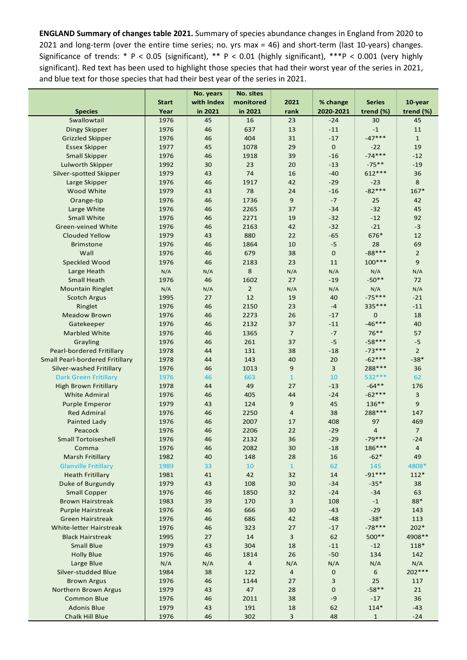**ENGLAND Summary of changes table 2021.** Summary of species abundance changes in England from 2020 to 2021 and long-term (over the entire time series; no. yrs max = 46) and short-term (last 10-years) changes. Significance of trends: \* P < 0.05 (significant), \*\* P < 0.01 (highly significant), \*\*\*P < 0.001 (very highly significant). Red text has been used to highlight those species that had their worst year of the series in 2021, and blue text for those species that had their best year of the series in 2021.

|                                        |              | No. years  | No. sites      |                |             |                  |                |
|----------------------------------------|--------------|------------|----------------|----------------|-------------|------------------|----------------|
|                                        | <b>Start</b> | with Index | monitored      | 2021           | % change    | <b>Series</b>    | 10-year        |
| <b>Species</b>                         | Year         | in 2021    | in 2021        | rank           | 2020-2021   | trend (%)        | trend (%)      |
| Swallowtail                            | 1976         | 45         | 16             | 23             | $-24$       | 30               | 45             |
| Dingy Skipper                          | 1976         | 46         | 637            | 13             | $-11$       | $^{\rm -1}$      | 11             |
| <b>Grizzled Skipper</b>                | 1976         | 46         | 404            | 31             | $-17$       | $-47***$         | $\mathbf{1}$   |
| <b>Essex Skipper</b>                   | 1977         | 45         | 1078           | 29             | $\mathbf 0$ | $-22$            | 19             |
| <b>Small Skipper</b>                   | 1976         | 46         | 1918           | 39             | $-16$       | $-74***$         | $-12$          |
| Lulworth Skipper                       | 1992         | 30         | 23             | 20             | $-13$       | $-75**$          | $-19$          |
| Silver-spotted Skipper                 | 1979         | 43         | 74             | 16             | $-40$       | 612***           | 36             |
| Large Skipper                          | 1976         | 46         | 1917           | 42             | $-29$       | $-23$            | 8              |
| Wood White                             | 1979         | 43         | 78             | 24             | $-16$       | $-82***$         | $167*$         |
| Orange-tip                             | 1976         | 46         | 1736           | $9\,$          | $-7$        | 25               | 42             |
| Large White                            | 1976         | 46         | 2265           | 37             | $-34$       | $-32$            | 45             |
| <b>Small White</b>                     | 1976         | 46         | 2271           | 19             | $-32$       | $-12$            | 92             |
| <b>Green-veined White</b>              | 1976         | 46         | 2163           | 42             | $-32$       | $-21$            | $-3$           |
|                                        |              |            | 880            | 22             | $-65$       | 676*             | 12             |
| <b>Clouded Yellow</b>                  | 1979         | 43         |                |                |             |                  |                |
| <b>Brimstone</b>                       | 1976         | 46         | 1864           | 10             | $-5$        | 28               | 69             |
| Wall                                   | 1976         | 46         | 679            | 38             | $\mathbf 0$ | $-88***$         | $\overline{2}$ |
| Speckled Wood                          | 1976         | 46         | 2183           | 23             | 11          | 100***           | 9              |
| Large Heath                            | N/A          | N/A        | 8              | N/A            | N/A         | N/A              | N/A            |
| <b>Small Heath</b>                     | 1976         | 46         | 1602           | 27             | $-19$       | $-50**$          | 72             |
| <b>Mountain Ringlet</b>                | N/A          | N/A        | $\overline{2}$ | N/A            | N/A         | N/A              | N/A            |
| <b>Scotch Argus</b>                    | 1995         | 27         | 12             | 19             | 40          | $-75***$         | $-21$          |
| Ringlet                                | 1976         | 46         | 2150           | 23             | $-4$        | 335 ***          | $-11$          |
| <b>Meadow Brown</b>                    | 1976         | 46         | 2273           | 26             | $-17$       | 0                | 18             |
| Gatekeeper                             | 1976         | 46         | 2132           | 37             | $-11$       | $-46***$         | 40             |
| Marbled White                          | 1976         | 46         | 1365           | $\overline{7}$ | $-7$        | $76***$          | 57             |
| Grayling                               | 1976         | 46         | 261            | 37             | $-5$        | $-58***$         | $-5$           |
| Pearl-bordered Fritillary              | 1978         | 44         | 131            | 38             | $-18$       | $-73***$         | $\overline{2}$ |
| <b>Small Pearl-bordered Fritillary</b> | 1978         | 44         | 143            | 40             | 20          | $-62***$         | $-38*$         |
| Silver-washed Fritillary               | 1976         | 46         | 1013           | 9              | 3           | 288***           | 36             |
| <b>Dark Green Fritillary</b>           | 1976         | 46         | 663            | $\overline{1}$ | 10          | 532 ***          | 62             |
| <b>High Brown Fritillary</b>           | 1978         | 44         | 49             | 27             | $-13$       | $-64**$          | 176            |
| <b>White Admiral</b>                   | 1976         | 46         | 405            | 44             | $-24$       | $-62***$         | $\overline{3}$ |
| <b>Purple Emperor</b>                  | 1979         | 43         | 124            | $9\,$          | 45          | 136**            | $\overline{9}$ |
| <b>Red Admiral</b>                     | 1976         | 46         | 2250           | $\overline{4}$ | 38          | 288***           | 147            |
| <b>Painted Lady</b>                    | 1976         | 46         | 2007           | 17             | 408         | 97               | 469            |
| Peacock                                | 1976         | 46         | 2206           | 22             | $-29$       | $\overline{4}$   | $\overline{7}$ |
| <b>Small Tortoiseshell</b>             | 1976         | 46         | 2132           | 36             | $-29$       | $-79***$         | $-24$          |
| Comma                                  | 1976         | 46         | 2082           | 30             | $-18$       | 186***           | 4              |
| Marsh Fritillary                       | 1982         | 40         | 148            | 28             | 16          | $-62*$           | 49             |
|                                        |              | 33         |                |                |             |                  |                |
| <b>Glanville Fritillary</b>            | 1989         |            | 10             | $\mathbf{1}$   | 62          | 145<br>$-91***$  | 4808*          |
| <b>Heath Fritillary</b>                | 1981         | 41         | 42             | 32             | 14          |                  | $112*$         |
| Duke of Burgundy                       | 1979         | 43         | 108            | 30             | $-34$       | $-35*$           | 38             |
| <b>Small Copper</b>                    | 1976         | 46         | 1850           | 32             | $-24$       | $-34$            | 63             |
| <b>Brown Hairstreak</b>                | 1983         | 39         | 170            | 3              | 108         | $-1$             | $88\,^*$       |
| Purple Hairstreak                      | 1976         | 46         | 666            | 30             | $-43$       | $-29$            | 143            |
| <b>Green Hairstreak</b>                | 1976         | 46         | 686            | 42             | $-48$       | $-38*$           | 113            |
| White-letter Hairstreak                | 1976         | 46         | 323            | 27             | $-17$       | $-78***$         | 202*           |
| <b>Black Hairstreak</b>                | 1995         | 27         | 14             | 3              | 62          | 500**            | 4908 **        |
| <b>Small Blue</b>                      | 1979         | 43         | 304            | 18             | $-11$       | $-12$            | 118*           |
| <b>Holly Blue</b>                      | 1976         | 46         | 1814           | 26             | $-50$       | 134              | 142            |
| Large Blue                             | N/A          | N/A        | $\overline{a}$ | N/A            | N/A         | N/A              | N/A            |
| Silver-studded Blue                    | 1984         | 38         | 122            | $\overline{a}$ | $\mathbf 0$ | $\boldsymbol{6}$ | 202***         |
| <b>Brown Argus</b>                     | 1976         | 46         | 1144           | 27             | 3           | 25               | 117            |
| Northern Brown Argus                   | 1979         | 43         | 47             | 28             | 0           | $-58**$          | 21             |
| <b>Common Blue</b>                     | 1976         | 46         | 2011           | 38             | $-9$        | $-17$            | 36             |
| <b>Adonis Blue</b>                     | 1979         | 43         | 191            | 18             | 62          | $114*$           | $-43$          |
| <b>Chalk Hill Blue</b>                 | 1976         | 46         | 302            | 3              | 48          | $\mathbf{1}$     | $-24$          |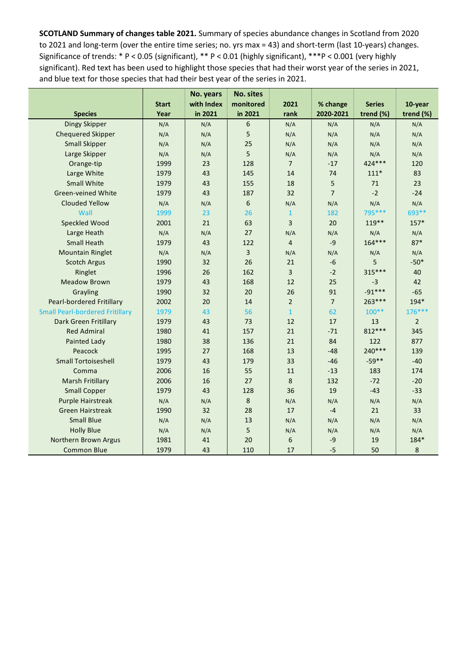**SCOTLAND Summary of changes table 2021.** Summary of species abundance changes in Scotland from 2020 to 2021 and long-term (over the entire time series; no. yrs max = 43) and short-term (last 10-years) changes. Significance of trends: \* P < 0.05 (significant), \*\* P < 0.01 (highly significant), \*\*\*P < 0.001 (very highly significant). Red text has been used to highlight those species that had their worst year of the series in 2021, and blue text for those species that had their best year of the series in 2021.

|                                        |              | No. years  | <b>No. sites</b> |                |                |               |                |
|----------------------------------------|--------------|------------|------------------|----------------|----------------|---------------|----------------|
|                                        | <b>Start</b> | with Index | monitored        | 2021           | % change       | <b>Series</b> | 10-year        |
| <b>Species</b>                         | Year         | in 2021    | in 2021          | rank           | 2020-2021      | trend (%)     | trend (%)      |
| Dingy Skipper                          | N/A          | N/A        | 6                | N/A            | N/A            | N/A           | N/A            |
| <b>Chequered Skipper</b>               | N/A          | N/A        | 5                | N/A            | N/A            | N/A           | N/A            |
| <b>Small Skipper</b>                   | N/A          | N/A        | 25               | N/A            | N/A            | N/A           | N/A            |
| Large Skipper                          | N/A          | N/A        | 5                | N/A            | N/A            | N/A           | N/A            |
| Orange-tip                             | 1999         | 23         | 128              | $\overline{7}$ | $-17$          | 424 ***       | 120            |
| Large White                            | 1979         | 43         | 145              | 14             | 74             | $111*$        | 83             |
| <b>Small White</b>                     | 1979         | 43         | 155              | 18             | 5              | 71            | 23             |
| <b>Green-veined White</b>              | 1979         | 43         | 187              | 32             | $\overline{7}$ | $-2$          | $-24$          |
| <b>Clouded Yellow</b>                  | N/A          | N/A        | 6                | N/A            | N/A            | N/A           | N/A            |
| Wall                                   | 1999         | 23         | 26               | $\mathbf{1}$   | 182            | 795 ***       | 693**          |
| Speckled Wood                          | 2001         | 21         | 63               | $\overline{3}$ | 20             | $119**$       | $157*$         |
| Large Heath                            | N/A          | N/A        | 27               | N/A            | N/A            | N/A           | N/A            |
| <b>Small Heath</b>                     | 1979         | 43         | 122              | $\overline{4}$ | $-9$           | $164***$      | $87*$          |
| <b>Mountain Ringlet</b>                | N/A          | N/A        | 3                | N/A            | N/A            | N/A           | N/A            |
| <b>Scotch Argus</b>                    | 1990         | 32         | 26               | 21             | $-6$           | 5             | $-50*$         |
| Ringlet                                | 1996         | 26         | 162              | 3              | $-2$           | 315***        | 40             |
| <b>Meadow Brown</b>                    | 1979         | 43         | 168              | 12             | 25             | $-3$          | 42             |
| Grayling                               | 1990         | 32         | 20               | 26             | 91             | $-91***$      | $-65$          |
| Pearl-bordered Fritillary              | 2002         | 20         | 14               | $\overline{2}$ | $\overline{7}$ | 263 ***       | 194*           |
| <b>Small Pearl-bordered Fritillary</b> | 1979         | 43         | 56               | $\mathbf{1}$   | 62             | $100**$       | 176***         |
| Dark Green Fritillary                  | 1979         | 43         | 73               | 12             | 17             | 13            | $\overline{2}$ |
| <b>Red Admiral</b>                     | 1980         | 41         | 157              | 21             | $-71$          | 812***        | 345            |
| <b>Painted Lady</b>                    | 1980         | 38         | 136              | 21             | 84             | 122           | 877            |
| Peacock                                | 1995         | 27         | 168              | 13             | $-48$          | 240***        | 139            |
| <b>Small Tortoiseshell</b>             | 1979         | 43         | 179              | 33             | $-46$          | $-59**$       | $-40$          |
| Comma                                  | 2006         | 16         | 55               | 11             | $-13$          | 183           | 174            |
| <b>Marsh Fritillary</b>                | 2006         | 16         | 27               | 8              | 132            | $-72$         | $-20$          |
| <b>Small Copper</b>                    | 1979         | 43         | 128              | 36             | 19             | $-43$         | $-33$          |
| Purple Hairstreak                      | N/A          | N/A        | $\bf 8$          | N/A            | N/A            | N/A           | N/A            |
| <b>Green Hairstreak</b>                | 1990         | 32         | 28               | 17             | $-4$           | 21            | 33             |
| <b>Small Blue</b>                      | N/A          | N/A        | 13               | N/A            | N/A            | N/A           | N/A            |
| <b>Holly Blue</b>                      | N/A          | N/A        | 5                | N/A            | N/A            | N/A           | N/A            |
| Northern Brown Argus                   | 1981         | 41         | 20               | 6              | $-9$           | 19            | 184*           |
| <b>Common Blue</b>                     | 1979         | 43         | 110              | 17             | $-5$           | 50            | 8              |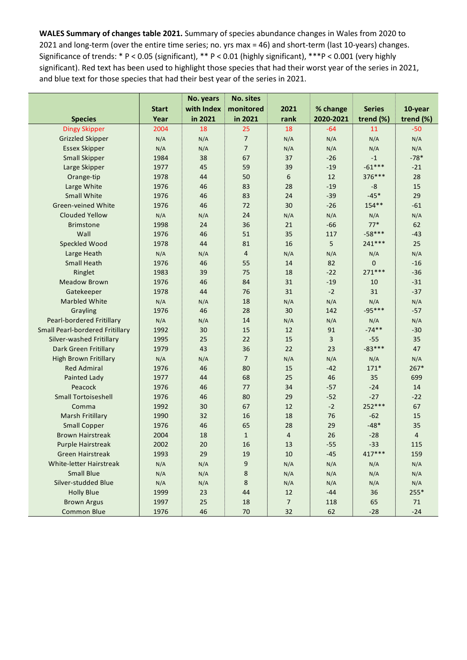**WALES Summary of changes table 2021.** Summary of species abundance changes in Wales from 2020 to 2021 and long-term (over the entire time series; no. yrs max = 46) and short-term (last 10-years) changes. Significance of trends: \* P < 0.05 (significant), \*\* P < 0.01 (highly significant), \*\*\*P < 0.001 (very highly significant). Red text has been used to highlight those species that had their worst year of the series in 2021, and blue text for those species that had their best year of the series in 2021.

|                                        |              | No. years  | No. sites      |                |           |               |                |
|----------------------------------------|--------------|------------|----------------|----------------|-----------|---------------|----------------|
|                                        | <b>Start</b> | with Index | monitored      | 2021           | % change  | <b>Series</b> | 10-year        |
| <b>Species</b>                         | Year         | in 2021    | in 2021        | rank           | 2020-2021 | trend (%)     | trend (%)      |
| <b>Dingy Skipper</b>                   | 2004         | 18         | 25             | 18             | $-64$     | 11            | $-50$          |
| <b>Grizzled Skipper</b>                | N/A          | N/A        | $\overline{7}$ | N/A            | N/A       | N/A           | N/A            |
| <b>Essex Skipper</b>                   | N/A          | N/A        | $\overline{7}$ | N/A            | N/A       | N/A           | N/A            |
| <b>Small Skipper</b>                   | 1984         | 38         | 67             | 37             | $-26$     | $-1$          | $-78*$         |
| Large Skipper                          | 1977         | 45         | 59             | 39             | $-19$     | $-61***$      | $-21$          |
| Orange-tip                             | 1978         | 44         | 50             | 6              | 12        | 376***        | 28             |
| Large White                            | 1976         | 46         | 83             | 28             | $-19$     | $-8$          | 15             |
| <b>Small White</b>                     | 1976         | 46         | 83             | 24             | $-39$     | $-45*$        | 29             |
| <b>Green-veined White</b>              | 1976         | 46         | 72             | 30             | $-26$     | 154**         | $-61$          |
| Clouded Yellow                         | N/A          | N/A        | 24             | N/A            | N/A       | N/A           | N/A            |
| <b>Brimstone</b>                       | 1998         | 24         | 36             | 21             | $-66$     | $77*$         | 62             |
| Wall                                   | 1976         | 46         | 51             | 35             | 117       | $-58***$      | $-43$          |
| Speckled Wood                          | 1978         | 44         | 81             | 16             | 5         | 241 ***       | 25             |
| Large Heath                            | N/A          | N/A        | $\overline{4}$ | N/A            | N/A       | N/A           | N/A            |
| <b>Small Heath</b>                     | 1976         | 46         | 55             | 14             | 82        | 0             | $-16$          |
| Ringlet                                | 1983         | 39         | 75             | 18             | $-22$     | 271 ***       | $-36$          |
| <b>Meadow Brown</b>                    | 1976         | 46         | 84             | 31             | $-19$     | 10            | $-31$          |
| Gatekeeper                             | 1978         | 44         | 76             | 31             | $-2$      | 31            | $-37$          |
| <b>Marbled White</b>                   | N/A          | N/A        | 18             | N/A            | N/A       | N/A           | N/A            |
| Grayling                               | 1976         | 46         | 28             | 30             | 142       | $-95***$      | $-57$          |
| Pearl-bordered Fritillary              | N/A          | N/A        | 14             | N/A            | N/A       | N/A           | N/A            |
| <b>Small Pearl-bordered Fritillary</b> | 1992         | 30         | 15             | 12             | 91        | $-74**$       | $-30$          |
| Silver-washed Fritillary               | 1995         | 25         | 22             | 15             | 3         | $-55$         | 35             |
| Dark Green Fritillary                  | 1979         | 43         | 36             | 22             | 23        | $-83***$      | 47             |
| <b>High Brown Fritillary</b>           | N/A          | N/A        | $\overline{7}$ | N/A            | N/A       | N/A           | N/A            |
| <b>Red Admiral</b>                     | 1976         | 46         | 80             | 15             | $-42$     | $171*$        | $267*$         |
| Painted Lady                           | 1977         | 44         | 68             | 25             | 46        | 35            | 699            |
| Peacock                                | 1976         | 46         | 77             | 34             | $-57$     | $-24$         | 14             |
| <b>Small Tortoiseshell</b>             | 1976         | 46         | 80             | 29             | $-52$     | $-27$         | $-22$          |
| Comma                                  | 1992         | 30         | 67             | 12             | $-2$      | 252 ***       | 67             |
| Marsh Fritillary                       | 1990         | 32         | 16             | 18             | 76        | $-62$         | 15             |
| <b>Small Copper</b>                    | 1976         | 46         | 65             | 28             | 29        | $-48*$        | 35             |
| <b>Brown Hairstreak</b>                | 2004         | 18         | $\mathbf{1}$   | $\overline{4}$ | 26        | $-28$         | $\overline{4}$ |
| <b>Purple Hairstreak</b>               | 2002         | 20         | 16             | 13             | $-55$     | $-33$         | 115            |
| <b>Green Hairstreak</b>                | 1993         | 29         | 19             | 10             | $-45$     | 417***        | 159            |
| White-letter Hairstreak                | N/A          | N/A        | 9              | N/A            | N/A       | N/A           | N/A            |
| <b>Small Blue</b>                      | N/A          | N/A        | 8              | N/A            | N/A       | N/A           | N/A            |
| Silver-studded Blue                    | N/A          | N/A        | 8              | N/A            | N/A       | N/A           | N/A            |
| <b>Holly Blue</b>                      | 1999         | 23         | 44             | 12             | $-44$     | 36            | 255*           |
| <b>Brown Argus</b>                     | 1997         | 25         | 18             | $\overline{7}$ | 118       | 65            | 71             |
| <b>Common Blue</b>                     | 1976         | 46         | 70             | 32             | 62        | $-28$         | $-24$          |